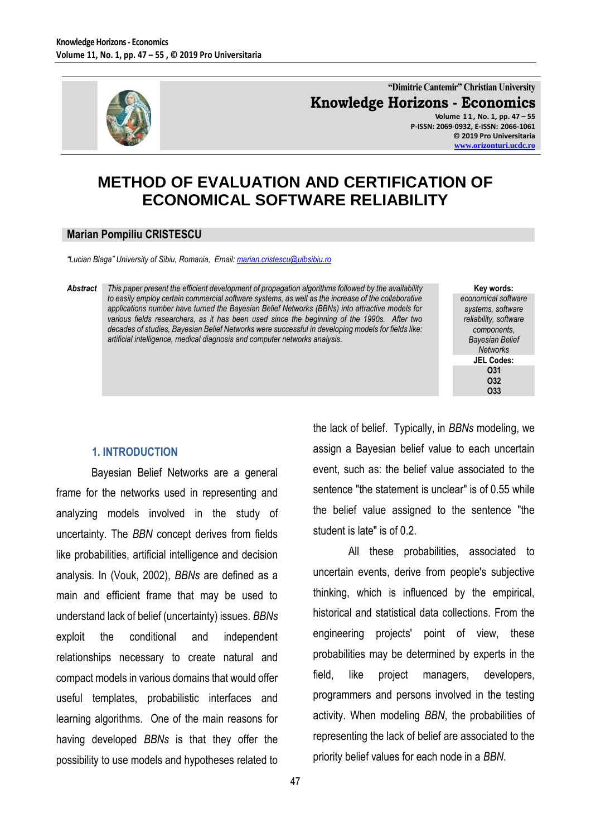

**"Dimitrie Cantemir" Christian University Knowledge Horizons - Economics Volume 1 1 , No. 1, pp. 47 – 55**

**P-ISSN: 2069-0932, E-ISSN: 2066-1061 © 2019 Pro Universitaria [www.orizonturi.ucdc.ro](http://www.orizonturi.ucdc.ro/)**

# **METHOD OF EVALUATION AND CERTIFICATION OF ECONOMICAL SOFTWARE RELIABILITY**

### **Marian Pompiliu CRISTESCU**

*"Lucian Blaga" University of Sibiu, Romania, Email[: marian.cristescu@ulbsibiu.ro](mailto:marian.cristescu@ulbsibiu.ro)* 

*Abstract This paper present the efficient development of propagation algorithms followed by the availability to easily employ certain commercial software systems, as well as the increase of the collaborative applications number have turned the Bayesian Belief Networks (BBNs) into attractive models for various fields researchers, as it has been used since the beginning of the 1990s. After two decades of studies, Bayesian Belief Networks were successful in developing models for fields like: artificial intelligence, medical diagnosis and computer networks analysis.*

**Key words:** *economical software systems, software reliability, software components, Bayesian Belief Networks* **JEL Codes: O31 O32 O33**

#### **1. INTRODUCTION**

Bayesian Belief Networks are a general frame for the networks used in representing and analyzing models involved in the study of uncertainty. The *BBN* concept derives from fields like probabilities, artificial intelligence and decision analysis. In (Vouk, 2002), *BBNs* are defined as a main and efficient frame that may be used to understand lack of belief (uncertainty) issues. *BBNs*  exploit the conditional and independent relationships necessary to create natural and compact models in various domains that would offer useful templates, probabilistic interfaces and learning algorithms. One of the main reasons for having developed *BBNs* is that they offer the possibility to use models and hypotheses related to the lack of belief. Typically, in *BBNs* modeling, we assign a Bayesian belief value to each uncertain event, such as: the belief value associated to the sentence "the statement is unclear" is of 0.55 while the belief value assigned to the sentence "the student is late" is of 0.2.

All these probabilities, associated to uncertain events, derive from people's subjective thinking, which is influenced by the empirical, historical and statistical data collections. From the engineering projects' point of view, these probabilities may be determined by experts in the field, like project managers, developers, programmers and persons involved in the testing activity. When modeling *BBN*, the probabilities of representing the lack of belief are associated to the priority belief values for each node in a *BBN*.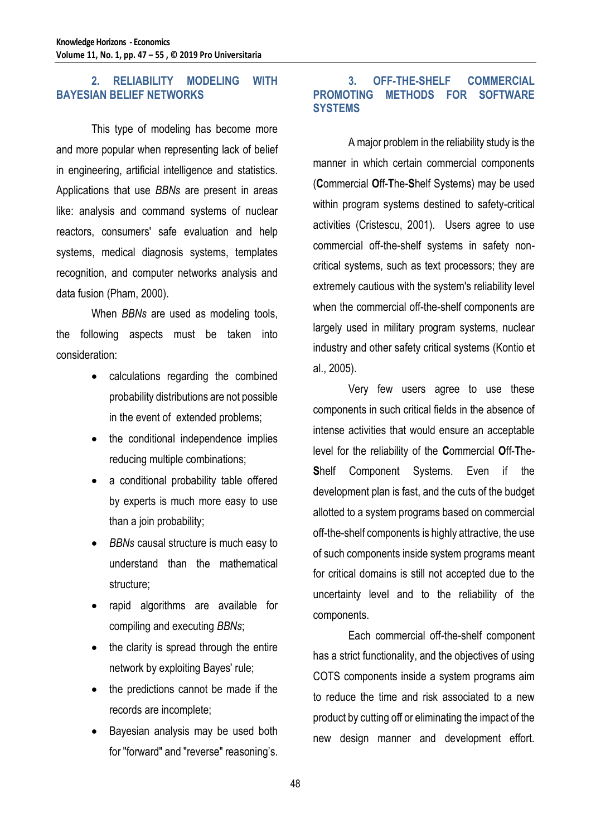# **2. RELIABILITY MODELING WITH BAYESIAN BELIEF NETWORKS**

This type of modeling has become more and more popular when representing lack of belief in engineering, artificial intelligence and statistics. Applications that use *BBNs* are present in areas like: analysis and command systems of nuclear reactors, consumers' safe evaluation and help systems, medical diagnosis systems, templates recognition, and computer networks analysis and data fusion (Pham, 2000).

When *BBNs* are used as modeling tools, the following aspects must be taken into consideration:

- calculations regarding the combined probability distributions are not possible in the event of extended problems;
- the conditional independence implies reducing multiple combinations;
- a conditional probability table offered by experts is much more easy to use than a join probability;
- *BBNs* causal structure is much easy to understand than the mathematical structure;
- rapid algorithms are available for compiling and executing *BBNs*;
- the clarity is spread through the entire network by exploiting Bayes' rule;
- the predictions cannot be made if the records are incomplete;
- Bayesian analysis may be used both for "forward" and "reverse" reasoning's.

# **3. OFF-THE-SHELF COMMERCIAL METHODS FOR SOFTWARE SYSTEMS**

A major problem in the reliability study is the manner in which certain commercial components (**C**ommercial **O**ff-**T**he-**S**helf Systems) may be used within program systems destined to safety-critical activities (Cristescu, 2001). Users agree to use commercial off-the-shelf systems in safety noncritical systems, such as text processors; they are extremely cautious with the system's reliability level when the commercial off-the-shelf components are largely used in military program systems, nuclear industry and other safety critical systems (Kontio et al., 2005).

Very few users agree to use these components in such critical fields in the absence of intense activities that would ensure an acceptable level for the reliability of the **C**ommercial **O**ff-**T**he-**S**helf Component Systems. Even if the development plan is fast, and the cuts of the budget allotted to a system programs based on commercial off-the-shelf components is highly attractive, the use of such components inside system programs meant for critical domains is still not accepted due to the uncertainty level and to the reliability of the components.

Each commercial off-the-shelf component has a strict functionality, and the objectives of using COTS components inside a system programs aim to reduce the time and risk associated to a new product by cutting off or eliminating the impact of the new design manner and development effort.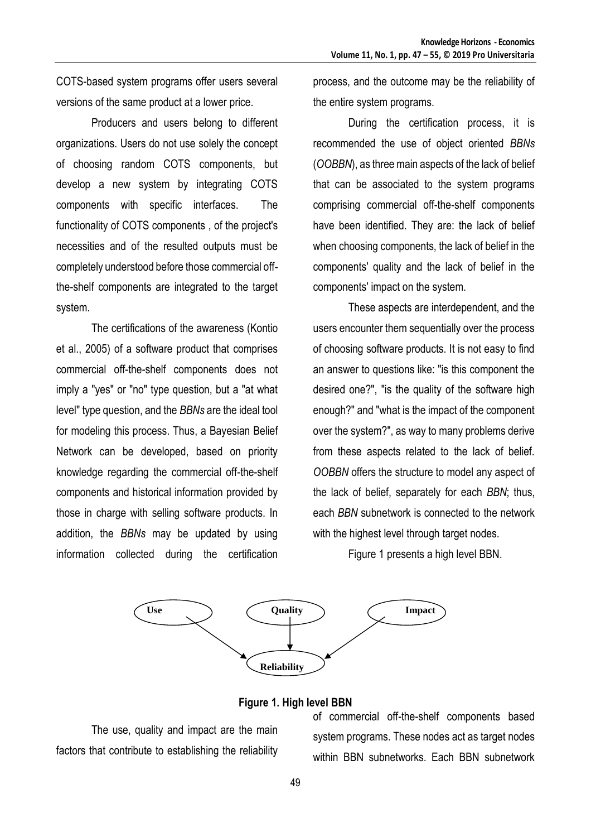COTS-based system programs offer users several versions of the same product at a lower price.

Producers and users belong to different organizations. Users do not use solely the concept of choosing random COTS components, but develop a new system by integrating COTS components with specific interfaces. The functionality of COTS components , of the project's necessities and of the resulted outputs must be completely understood before those commercial offthe-shelf components are integrated to the target system.

The certifications of the awareness (Kontio et al., 2005) of a software product that comprises commercial off-the-shelf components does not imply a "yes" or "no" type question, but a "at what level" type question, and the *BBNs* are the ideal tool for modeling this process. Thus, a Bayesian Belief Network can be developed, based on priority knowledge regarding the commercial off-the-shelf components and historical information provided by those in charge with selling software products. In addition, the *BBNs* may be updated by using information collected during the certification

process, and the outcome may be the reliability of the entire system programs.

During the certification process, it is recommended the use of object oriented *BBNs*  (*OOBBN*), as three main aspects of the lack of belief that can be associated to the system programs comprising commercial off-the-shelf components have been identified. They are: the lack of belief when choosing components, the lack of belief in the components' quality and the lack of belief in the components' impact on the system.

These aspects are interdependent, and the users encounter them sequentially over the process of choosing software products. It is not easy to find an answer to questions like: "is this component the desired one?", "is the quality of the software high enough?" and "what is the impact of the component over the system?", as way to many problems derive from these aspects related to the lack of belief. *OOBBN* offers the structure to model any aspect of the lack of belief, separately for each *BBN*; thus, each *BBN* subnetwork is connected to the network with the highest level through target nodes.

Figure 1 presents a high level BBN.



#### **Figure 1. High level BBN**

The use, quality and impact are the main factors that contribute to establishing the reliability of commercial off-the-shelf components based system programs. These nodes act as target nodes within BBN subnetworks. Each BBN subnetwork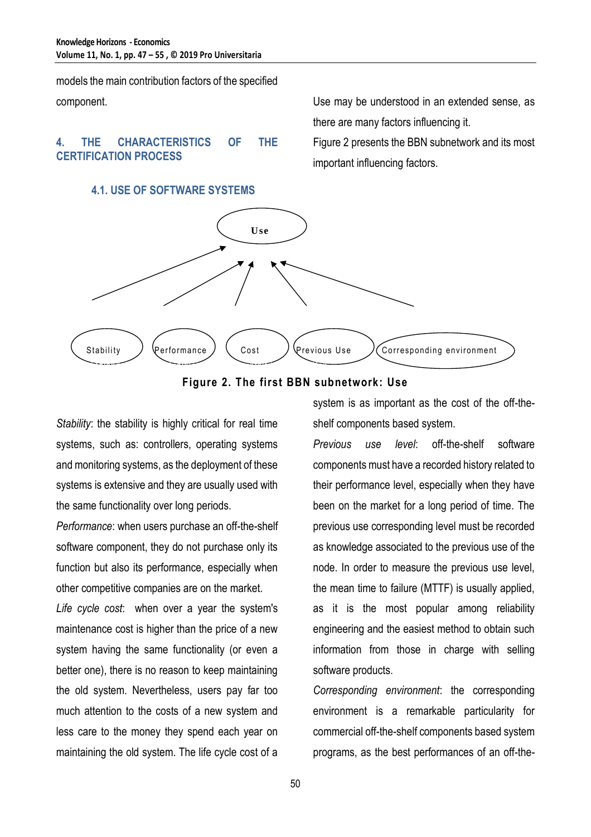models the main contribution factors of the specified component.

# **4. THE CHARACTERISTICS OF THE CERTIFICATION PROCESS**

# **4.1. USE OF SOFTWARE SYSTEMS**

Use may be understood in an extended sense, as there are many factors influencing it.

Figure 2 presents the BBN subnetwork and its most important influencing factors.





*Stability*: the stability is highly critical for real time systems, such as: controllers, operating systems and monitoring systems, as the deployment of these systems is extensive and they are usually used with the same functionality over long periods.

*Performance*: when users purchase an off-the-shelf software component, they do not purchase only its function but also its performance, especially when other competitive companies are on the market.

*Life cycle cost*: when over a year the system's maintenance cost is higher than the price of a new system having the same functionality (or even a better one), there is no reason to keep maintaining the old system. Nevertheless, users pay far too much attention to the costs of a new system and less care to the money they spend each year on maintaining the old system. The life cycle cost of a

system is as important as the cost of the off-theshelf components based system.

*Previous use level*: off-the-shelf software components must have a recorded history related to their performance level, especially when they have been on the market for a long period of time. The previous use corresponding level must be recorded as knowledge associated to the previous use of the node. In order to measure the previous use level, the mean time to failure (MTTF) is usually applied, as it is the most popular among reliability engineering and the easiest method to obtain such information from those in charge with selling software products.

*Corresponding environment*: the corresponding environment is a remarkable particularity for commercial off-the-shelf components based system programs, as the best performances of an off-the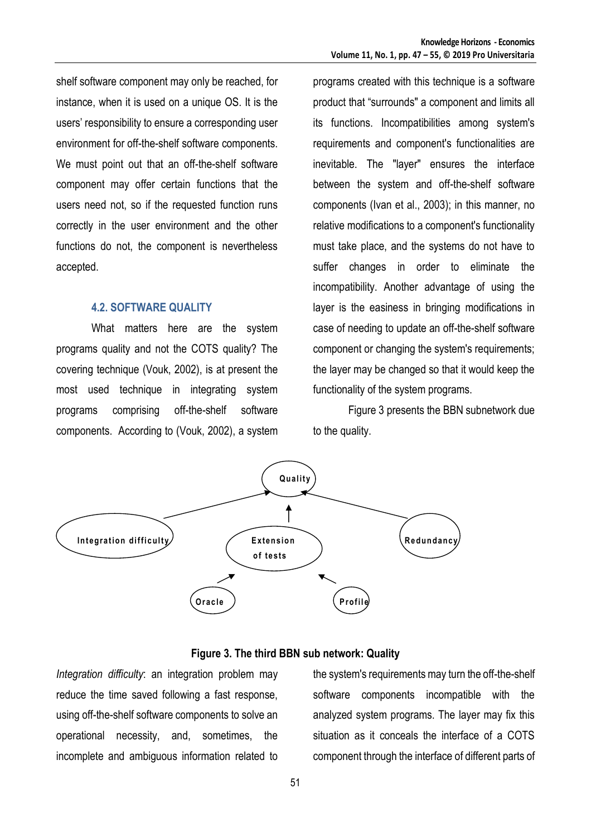shelf software component may only be reached, for instance, when it is used on a unique OS. It is the users' responsibility to ensure a corresponding user environment for off-the-shelf software components. We must point out that an off-the-shelf software component may offer certain functions that the users need not, so if the requested function runs correctly in the user environment and the other functions do not, the component is nevertheless accepted.

### **4.2. SOFTWARE QUALITY**

What matters here are the system programs quality and not the COTS quality? The covering technique (Vouk, 2002), is at present the most used technique in integrating system programs comprising off-the-shelf software components. According to (Vouk, 2002), a system programs created with this technique is a software product that "surrounds" a component and limits all its functions. Incompatibilities among system's requirements and component's functionalities are inevitable. The "layer" ensures the interface between the system and off-the-shelf software components (Ivan et al., 2003); in this manner, no relative modifications to a component's functionality must take place, and the systems do not have to suffer changes in order to eliminate the incompatibility. Another advantage of using the layer is the easiness in bringing modifications in case of needing to update an off-the-shelf software component or changing the system's requirements; the layer may be changed so that it would keep the functionality of the system programs.

Figure 3 presents the BBN subnetwork due to the quality.





*Integration difficulty*: an integration problem may reduce the time saved following a fast response, using off-the-shelf software components to solve an operational necessity, and, sometimes, the incomplete and ambiguous information related to

the system's requirements may turn the off-the-shelf software components incompatible with the analyzed system programs. The layer may fix this situation as it conceals the interface of a COTS component through the interface of different parts of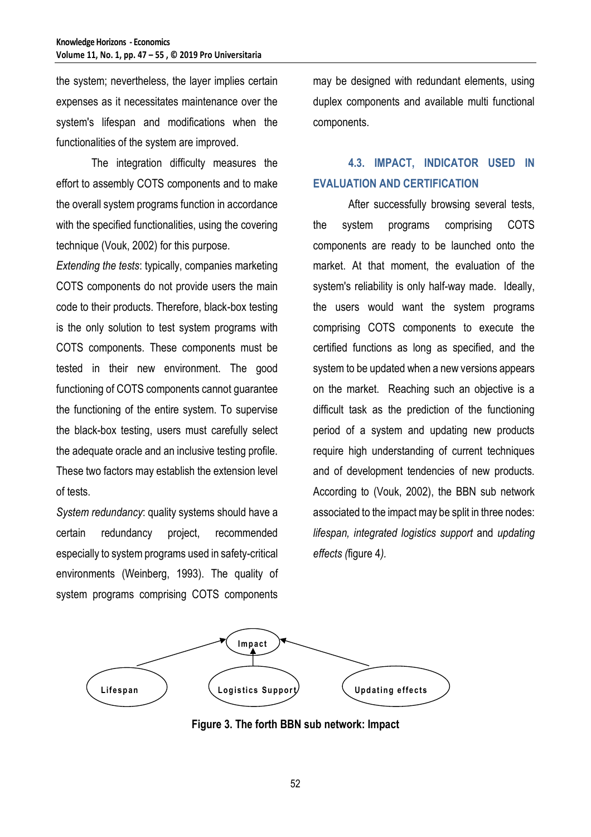the system; nevertheless, the layer implies certain expenses as it necessitates maintenance over the system's lifespan and modifications when the functionalities of the system are improved.

The integration difficulty measures the effort to assembly COTS components and to make the overall system programs function in accordance with the specified functionalities, using the covering technique (Vouk, 2002) for this purpose.

*Extending the tests*: typically, companies marketing COTS components do not provide users the main code to their products. Therefore, black-box testing is the only solution to test system programs with COTS components. These components must be tested in their new environment. The good functioning of COTS components cannot guarantee the functioning of the entire system. To supervise the black-box testing, users must carefully select the adequate oracle and an inclusive testing profile. These two factors may establish the extension level of tests.

*System redundancy*: quality systems should have a certain redundancy project, recommended especially to system programs used in safety-critical environments (Weinberg, 1993). The quality of system programs comprising COTS components

may be designed with redundant elements, using duplex components and available multi functional components.

# **4.3. IMPACT, INDICATOR USED IN EVALUATION AND CERTIFICATION**

After successfully browsing several tests, the system programs comprising COTS components are ready to be launched onto the market. At that moment, the evaluation of the system's reliability is only half-way made. Ideally, the users would want the system programs comprising COTS components to execute the certified functions as long as specified, and the system to be updated when a new versions appears on the market. Reaching such an objective is a difficult task as the prediction of the functioning period of a system and updating new products require high understanding of current techniques and of development tendencies of new products. According to (Vouk, 2002), the BBN sub network associated to the impact may be split in three nodes: *lifespan, integrated logistics support* and *updating effects (*figure 4*).*



**Figure 3. The forth BBN sub network: Impact**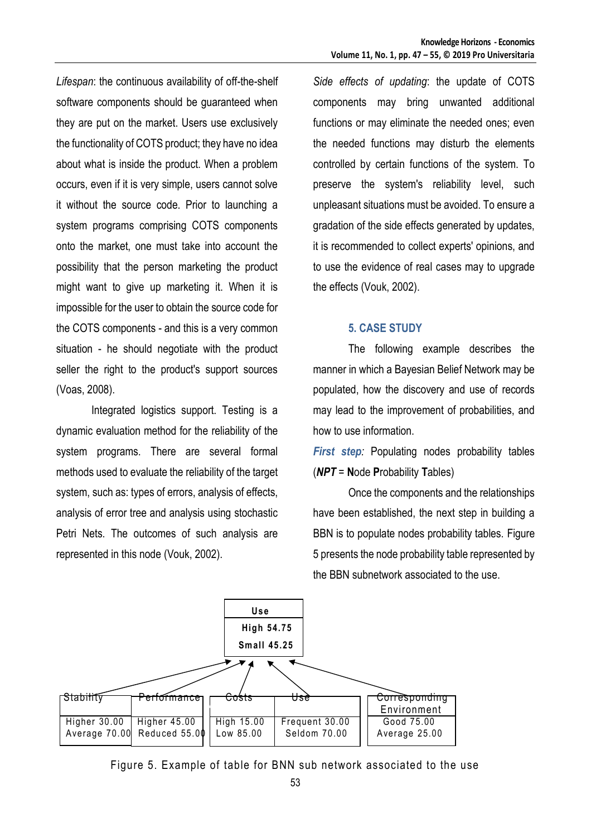*Lifespan*: the continuous availability of off-the-shelf software components should be guaranteed when they are put on the market. Users use exclusively the functionality of COTS product; they have no idea about what is inside the product. When a problem occurs, even if it is very simple, users cannot solve it without the source code. Prior to launching a system programs comprising COTS components onto the market, one must take into account the possibility that the person marketing the product might want to give up marketing it. When it is impossible for the user to obtain the source code for the COTS components - and this is a very common situation - he should negotiate with the product seller the right to the product's support sources (Voas, 2008).

Integrated logistics support. Testing is a dynamic evaluation method for the reliability of the system programs. There are several formal methods used to evaluate the reliability of the target system, such as: types of errors, analysis of effects, analysis of error tree and analysis using stochastic Petri Nets. The outcomes of such analysis are represented in this node (Vouk, 2002).

*Side effects of updating*: the update of COTS components may bring unwanted additional functions or may eliminate the needed ones; even the needed functions may disturb the elements controlled by certain functions of the system. To preserve the system's reliability level, such unpleasant situations must be avoided. To ensure a gradation of the side effects generated by updates, it is recommended to collect experts' opinions, and to use the evidence of real cases may to upgrade the effects (Vouk, 2002).

# **5. CASE STUDY**

The following example describes the manner in which a Bayesian Belief Network may be populated, how the discovery and use of records may lead to the improvement of probabilities, and how to use information.

*First step:* Populating nodes probability tables (*NPT* = **N**ode **P**robability **T**ables)

Once the components and the relationships have been established, the next step in building a BBN is to populate nodes probability tables. Figure 5 presents the node probability table represented by the BBN subnetwork associated to the use.



Figure 5. Example of table for BNN sub network associated to the use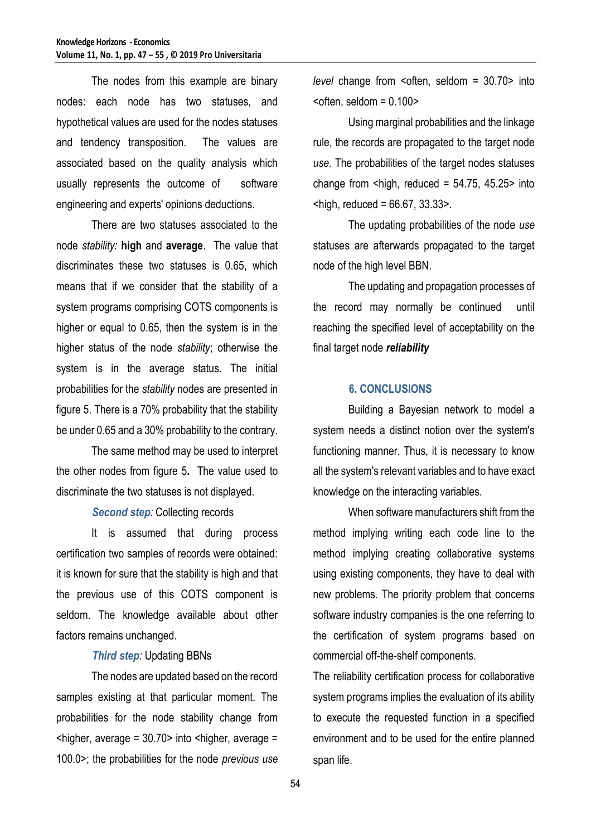The nodes from this example are binary nodes: each node has two statuses, and hypothetical values are used for the nodes statuses and tendency transposition. The values are associated based on the quality analysis which usually represents the outcome of software engineering and experts' opinions deductions.

There are two statuses associated to the node *stability:* **high** and **average**. The value that discriminates these two statuses is 0.65, which means that if we consider that the stability of a system programs comprising COTS components is higher or equal to 0.65, then the system is in the higher status of the node *stability*; otherwise the system is in the average status. The initial probabilities for the *stability* nodes are presented in figure 5. There is a 70% probability that the stability be under 0.65 and a 30% probability to the contrary.

The same method may be used to interpret the other nodes from figure 5**.** The value used to discriminate the two statuses is not displayed.

*Second step:* Collecting records

It is assumed that during process certification two samples of records were obtained: it is known for sure that the stability is high and that the previous use of this COTS component is seldom. The knowledge available about other factors remains unchanged.

### *Third step:* Updating BBNs

The nodes are updated based on the record samples existing at that particular moment. The probabilities for the node stability change from  $\epsilon$ higher, average = 30.70 > into  $\epsilon$ higher, average = 100.0>; the probabilities for the node *previous use*  *level* change from <often, seldom = 30.70> into  $\epsilon$  < often, seldom = 0.100 $\epsilon$ 

Using marginal probabilities and the linkage rule, the records are propagated to the target node *use.* The probabilities of the target nodes statuses change from  $\langle$ high, reduced = 54.75, 45.25 $>$  into  $\epsilon$ high, reduced = 66.67, 33.33 $>$ .

The updating probabilities of the node *use*  statuses are afterwards propagated to the target node of the high level BBN.

The updating and propagation processes of the record may normally be continued until reaching the specified level of acceptability on the final target node *reliability*

### **6. CONCLUSIONS**

Building a Bayesian network to model a system needs a distinct notion over the system's functioning manner. Thus, it is necessary to know all the system's relevant variables and to have exact knowledge on the interacting variables.

When software manufacturers shift from the method implying writing each code line to the method implying creating collaborative systems using existing components, they have to deal with new problems. The priority problem that concerns software industry companies is the one referring to the certification of system programs based on commercial off-the-shelf components.

The reliability certification process for collaborative system programs implies the evaluation of its ability to execute the requested function in a specified environment and to be used for the entire planned span life.